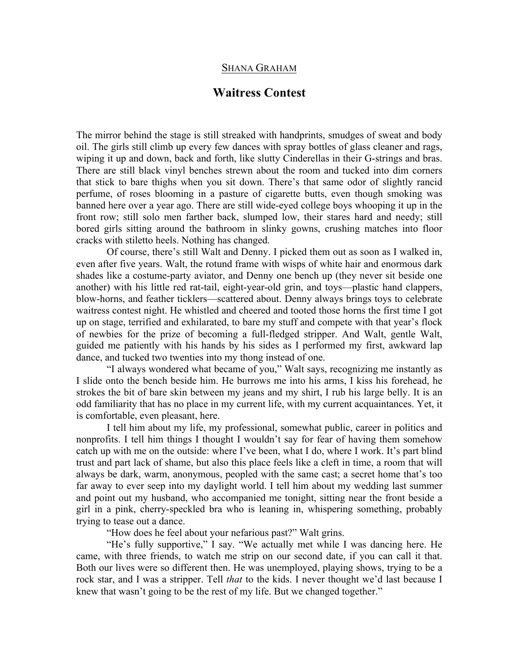## SHANA GRAHAM

## **Waitress Contest**

The mirror behind the stage is still streaked with handprints, smudges of sweat and body oil. The girls still climb up every few dances with spray bottles of glass cleaner and rags, wiping it up and down, back and forth, like slutty Cinderellas in their G-strings and bras. There are still black vinyl benches strewn about the room and tucked into dim corners that stick to bare thighs when you sit down. There's that same odor of slightly rancid perfume, of roses blooming in a pasture of cigarette butts, even though smoking was banned here over a year ago. There are still wide-eyed college boys whooping it up in the front row; still solo men farther back, slumped low, their stares hard and needy; still bored girls sitting around the bathroom in slinky gowns, crushing matches into floor cracks with stiletto heels. Nothing has changed.

Of course, there's still Walt and Denny. I picked them out as soon as I walked in, even after five years. Walt, the rotund frame with wisps of white hair and enormous dark shades like a costume-party aviator, and Denny one bench up (they never sit beside one another) with his little red rat-tail, eight-year-old grin, and toys—plastic hand clappers, blow-horns, and feather ticklers—scattered about. Denny always brings toys to celebrate waitress contest night. He whistled and cheered and tooted those horns the first time I got up on stage, terrified and exhilarated, to bare my stuff and compete with that year's flock of newbies for the prize of becoming a full-fledged stripper. And Walt, gentle Walt, guided me patiently with his hands by his sides as I performed my first, awkward lap dance, and tucked two twenties into my thong instead of one.

"I always wondered what became of you," Walt says, recognizing me instantly as I slide onto the bench beside him. He burrows me into his arms, I kiss his forehead, he strokes the bit of bare skin between my jeans and my shirt, I rub his large belly. It is an odd familiarity that has no place in my current life, with my current acquaintances. Yet, it is comfortable, even pleasant, here.

I tell him about my life, my professional, somewhat public, career in politics and nonprofits. I tell him things I thought I wouldn't say for fear of having them somehow catch up with me on the outside: where I've been, what I do, where I work. It's part blind trust and part lack of shame, but also this place feels like a cleft in time, a room that will always be dark, warm, anonymous, peopled with the same cast; a secret home that's too far away to ever seep into my daylight world. I tell him about my wedding last summer and point out my husband, who accompanied me tonight, sitting near the front beside a girl in a pink, cherry-speckled bra who is leaning in, whispering something, probably trying to tease out a dance.

"How does he feel about your nefarious past?" Walt grins.

"He's fully supportive," I say. "We actually met while I was dancing here. He came, with three friends, to watch me strip on our second date, if you can call it that. Both our lives were so different then. He was unemployed, playing shows, trying to be a rock star, and I was a stripper. Tell *that* to the kids. I never thought we'd last because I knew that wasn't going to be the rest of my life. But we changed together."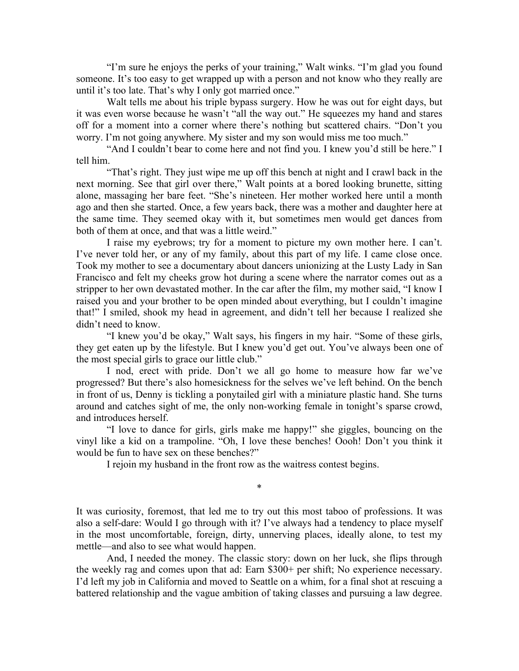"I'm sure he enjoys the perks of your training," Walt winks. "I'm glad you found someone. It's too easy to get wrapped up with a person and not know who they really are until it's too late. That's why I only got married once."

Walt tells me about his triple bypass surgery. How he was out for eight days, but it was even worse because he wasn't "all the way out." He squeezes my hand and stares off for a moment into a corner where there's nothing but scattered chairs. "Don't you worry. I'm not going anywhere. My sister and my son would miss me too much."

"And I couldn't bear to come here and not find you. I knew you'd still be here." I tell him.

"That's right. They just wipe me up off this bench at night and I crawl back in the next morning. See that girl over there," Walt points at a bored looking brunette, sitting alone, massaging her bare feet. "She's nineteen. Her mother worked here until a month ago and then she started. Once, a few years back, there was a mother and daughter here at the same time. They seemed okay with it, but sometimes men would get dances from both of them at once, and that was a little weird."

I raise my eyebrows; try for a moment to picture my own mother here. I can't. I've never told her, or any of my family, about this part of my life. I came close once. Took my mother to see a documentary about dancers unionizing at the Lusty Lady in San Francisco and felt my cheeks grow hot during a scene where the narrator comes out as a stripper to her own devastated mother. In the car after the film, my mother said, "I know I raised you and your brother to be open minded about everything, but I couldn't imagine that!" I smiled, shook my head in agreement, and didn't tell her because I realized she didn't need to know.

"I knew you'd be okay," Walt says, his fingers in my hair. "Some of these girls, they get eaten up by the lifestyle. But I knew you'd get out. You've always been one of the most special girls to grace our little club."

I nod, erect with pride. Don't we all go home to measure how far we've progressed? But there's also homesickness for the selves we've left behind. On the bench in front of us, Denny is tickling a ponytailed girl with a miniature plastic hand. She turns around and catches sight of me, the only non-working female in tonight's sparse crowd, and introduces herself.

"I love to dance for girls, girls make me happy!" she giggles, bouncing on the vinyl like a kid on a trampoline. "Oh, I love these benches! Oooh! Don't you think it would be fun to have sex on these benches?"

I rejoin my husband in the front row as the waitress contest begins.

\*

It was curiosity, foremost, that led me to try out this most taboo of professions. It was also a self-dare: Would I go through with it? I've always had a tendency to place myself in the most uncomfortable, foreign, dirty, unnerving places, ideally alone, to test my mettle—and also to see what would happen.

And, I needed the money. The classic story: down on her luck, she flips through the weekly rag and comes upon that ad: Earn \$300+ per shift; No experience necessary. I'd left my job in California and moved to Seattle on a whim, for a final shot at rescuing a battered relationship and the vague ambition of taking classes and pursuing a law degree.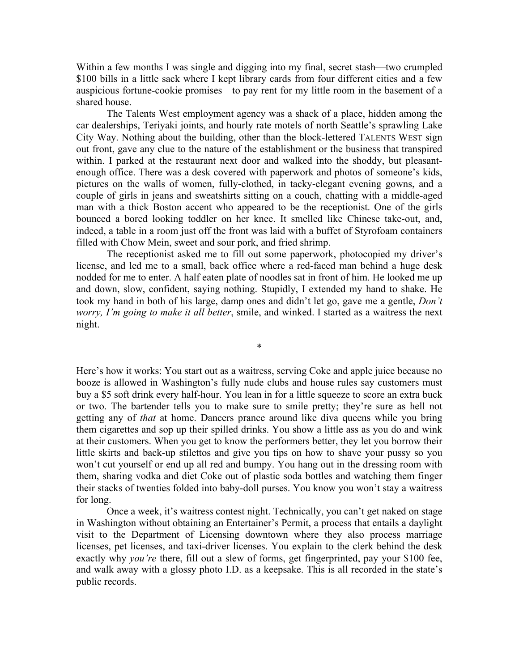Within a few months I was single and digging into my final, secret stash—two crumpled \$100 bills in a little sack where I kept library cards from four different cities and a few auspicious fortune-cookie promises—to pay rent for my little room in the basement of a shared house.

The Talents West employment agency was a shack of a place, hidden among the car dealerships, Teriyaki joints, and hourly rate motels of north Seattle's sprawling Lake City Way. Nothing about the building, other than the block-lettered TALENTS WEST sign out front, gave any clue to the nature of the establishment or the business that transpired within. I parked at the restaurant next door and walked into the shoddy, but pleasantenough office. There was a desk covered with paperwork and photos of someone's kids, pictures on the walls of women, fully-clothed, in tacky-elegant evening gowns, and a couple of girls in jeans and sweatshirts sitting on a couch, chatting with a middle-aged man with a thick Boston accent who appeared to be the receptionist. One of the girls bounced a bored looking toddler on her knee. It smelled like Chinese take-out, and, indeed, a table in a room just off the front was laid with a buffet of Styrofoam containers filled with Chow Mein, sweet and sour pork, and fried shrimp.

The receptionist asked me to fill out some paperwork, photocopied my driver's license, and led me to a small, back office where a red-faced man behind a huge desk nodded for me to enter. A half eaten plate of noodles sat in front of him. He looked me up and down, slow, confident, saying nothing. Stupidly, I extended my hand to shake. He took my hand in both of his large, damp ones and didn't let go, gave me a gentle, *Don't worry, I'm going to make it all better*, smile, and winked. I started as a waitress the next night.

\*

Here's how it works: You start out as a waitress, serving Coke and apple juice because no booze is allowed in Washington's fully nude clubs and house rules say customers must buy a \$5 soft drink every half-hour. You lean in for a little squeeze to score an extra buck or two. The bartender tells you to make sure to smile pretty; they're sure as hell not getting any of *that* at home. Dancers prance around like diva queens while you bring them cigarettes and sop up their spilled drinks. You show a little ass as you do and wink at their customers. When you get to know the performers better, they let you borrow their little skirts and back-up stilettos and give you tips on how to shave your pussy so you won't cut yourself or end up all red and bumpy. You hang out in the dressing room with them, sharing vodka and diet Coke out of plastic soda bottles and watching them finger their stacks of twenties folded into baby-doll purses. You know you won't stay a waitress for long.

Once a week, it's waitress contest night. Technically, you can't get naked on stage in Washington without obtaining an Entertainer's Permit, a process that entails a daylight visit to the Department of Licensing downtown where they also process marriage licenses, pet licenses, and taxi-driver licenses. You explain to the clerk behind the desk exactly why *you're* there, fill out a slew of forms, get fingerprinted, pay your \$100 fee, and walk away with a glossy photo I.D. as a keepsake. This is all recorded in the state's public records.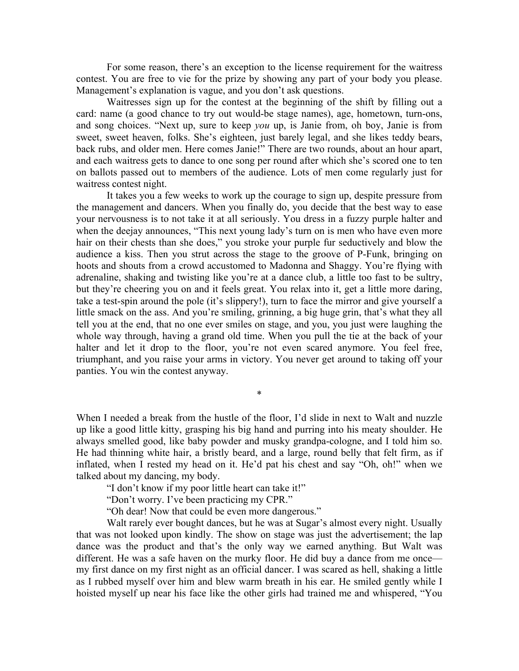For some reason, there's an exception to the license requirement for the waitress contest. You are free to vie for the prize by showing any part of your body you please. Management's explanation is vague, and you don't ask questions.

Waitresses sign up for the contest at the beginning of the shift by filling out a card: name (a good chance to try out would-be stage names), age, hometown, turn-ons, and song choices. "Next up, sure to keep *you* up, is Janie from, oh boy, Janie is from sweet, sweet heaven, folks. She's eighteen, just barely legal, and she likes teddy bears, back rubs, and older men. Here comes Janie!" There are two rounds, about an hour apart, and each waitress gets to dance to one song per round after which she's scored one to ten on ballots passed out to members of the audience. Lots of men come regularly just for waitress contest night.

It takes you a few weeks to work up the courage to sign up, despite pressure from the management and dancers. When you finally do, you decide that the best way to ease your nervousness is to not take it at all seriously. You dress in a fuzzy purple halter and when the deejay announces, "This next young lady's turn on is men who have even more hair on their chests than she does," you stroke your purple fur seductively and blow the audience a kiss. Then you strut across the stage to the groove of P-Funk, bringing on hoots and shouts from a crowd accustomed to Madonna and Shaggy. You're flying with adrenaline, shaking and twisting like you're at a dance club, a little too fast to be sultry, but they're cheering you on and it feels great. You relax into it, get a little more daring, take a test-spin around the pole (it's slippery!), turn to face the mirror and give yourself a little smack on the ass. And you're smiling, grinning, a big huge grin, that's what they all tell you at the end, that no one ever smiles on stage, and you, you just were laughing the whole way through, having a grand old time. When you pull the tie at the back of your halter and let it drop to the floor, you're not even scared anymore. You feel free, triumphant, and you raise your arms in victory. You never get around to taking off your panties. You win the contest anyway.

When I needed a break from the hustle of the floor, I'd slide in next to Walt and nuzzle up like a good little kitty, grasping his big hand and purring into his meaty shoulder. He always smelled good, like baby powder and musky grandpa-cologne, and I told him so. He had thinning white hair, a bristly beard, and a large, round belly that felt firm, as if inflated, when I rested my head on it. He'd pat his chest and say "Oh, oh!" when we talked about my dancing, my body.

\*

"I don't know if my poor little heart can take it!"

"Don't worry. I've been practicing my CPR."

"Oh dear! Now that could be even more dangerous."

Walt rarely ever bought dances, but he was at Sugar's almost every night. Usually that was not looked upon kindly. The show on stage was just the advertisement; the lap dance was the product and that's the only way we earned anything. But Walt was different. He was a safe haven on the murky floor. He did buy a dance from me once my first dance on my first night as an official dancer. I was scared as hell, shaking a little as I rubbed myself over him and blew warm breath in his ear. He smiled gently while I hoisted myself up near his face like the other girls had trained me and whispered, "You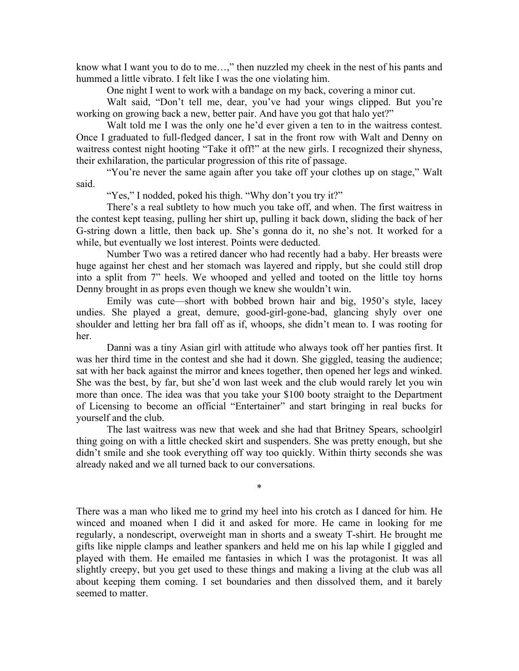know what I want you to do to me...," then nuzzled my cheek in the nest of his pants and hummed a little vibrato. I felt like I was the one violating him.

One night I went to work with a bandage on my back, covering a minor cut.

Walt said, "Don't tell me, dear, you've had your wings clipped. But you're working on growing back a new, better pair. And have you got that halo yet?"

Walt told me I was the only one he'd ever given a ten to in the waitress contest. Once I graduated to full-fledged dancer, I sat in the front row with Walt and Denny on waitress contest night hooting "Take it off!" at the new girls. I recognized their shyness, their exhilaration, the particular progression of this rite of passage.

"You're never the same again after you take off your clothes up on stage," Walt said.

"Yes," I nodded, poked his thigh. "Why don't you try it?"

There's a real subtlety to how much you take off, and when. The first waitress in the contest kept teasing, pulling her shirt up, pulling it back down, sliding the back of her G-string down a little, then back up. She's gonna do it, no she's not. It worked for a while, but eventually we lost interest. Points were deducted.

Number Two was a retired dancer who had recently had a baby. Her breasts were huge against her chest and her stomach was layered and ripply, but she could still drop into a split from 7" heels. We whooped and yelled and tooted on the little toy horns Denny brought in as props even though we knew she wouldn't win.

Emily was cute—short with bobbed brown hair and big, 1950's style, lacey undies. She played a great, demure, good-girl-gone-bad, glancing shyly over one shoulder and letting her bra fall off as if, whoops, she didn't mean to. I was rooting for her.

Danni was a tiny Asian girl with attitude who always took off her panties first. It was her third time in the contest and she had it down. She giggled, teasing the audience; sat with her back against the mirror and knees together, then opened her legs and winked. She was the best, by far, but she'd won last week and the club would rarely let you win more than once. The idea was that you take your \$100 booty straight to the Department of Licensing to become an official "Entertainer" and start bringing in real bucks for yourself and the club.

The last waitress was new that week and she had that Britney Spears, schoolgirl thing going on with a little checked skirt and suspenders. She was pretty enough, but she didn't smile and she took everything off way too quickly. Within thirty seconds she was already naked and we all turned back to our conversations.

\*

There was a man who liked me to grind my heel into his crotch as I danced for him. He winced and moaned when I did it and asked for more. He came in looking for me regularly, a nondescript, overweight man in shorts and a sweaty T-shirt. He brought me gifts like nipple clamps and leather spankers and held me on his lap while I giggled and played with them. He emailed me fantasies in which I was the protagonist. It was all slightly creepy, but you get used to these things and making a living at the club was all about keeping them coming. I set boundaries and then dissolved them, and it barely seemed to matter.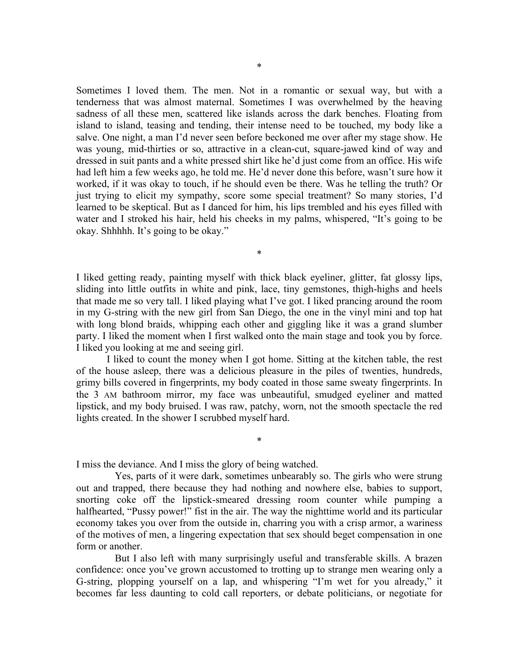Sometimes I loved them. The men. Not in a romantic or sexual way, but with a tenderness that was almost maternal. Sometimes I was overwhelmed by the heaving sadness of all these men, scattered like islands across the dark benches. Floating from island to island, teasing and tending, their intense need to be touched, my body like a salve. One night, a man I'd never seen before beckoned me over after my stage show. He was young, mid-thirties or so, attractive in a clean-cut, square-jawed kind of way and dressed in suit pants and a white pressed shirt like he'd just come from an office. His wife had left him a few weeks ago, he told me. He'd never done this before, wasn't sure how it worked, if it was okay to touch, if he should even be there. Was he telling the truth? Or just trying to elicit my sympathy, score some special treatment? So many stories, I'd learned to be skeptical. But as I danced for him, his lips trembled and his eyes filled with water and I stroked his hair, held his cheeks in my palms, whispered, "It's going to be okay. Shhhhh. It's going to be okay."

I liked getting ready, painting myself with thick black eyeliner, glitter, fat glossy lips, sliding into little outfits in white and pink, lace, tiny gemstones, thigh-highs and heels that made me so very tall. I liked playing what I've got. I liked prancing around the room in my G-string with the new girl from San Diego, the one in the vinyl mini and top hat with long blond braids, whipping each other and giggling like it was a grand slumber party. I liked the moment when I first walked onto the main stage and took you by force. I liked you looking at me and seeing girl.

\*

I liked to count the money when I got home. Sitting at the kitchen table, the rest of the house asleep, there was a delicious pleasure in the piles of twenties, hundreds, grimy bills covered in fingerprints, my body coated in those same sweaty fingerprints. In the 3 AM bathroom mirror, my face was unbeautiful, smudged eyeliner and matted lipstick, and my body bruised. I was raw, patchy, worn, not the smooth spectacle the red lights created. In the shower I scrubbed myself hard.

\*

I miss the deviance. And I miss the glory of being watched.

Yes, parts of it were dark, sometimes unbearably so. The girls who were strung out and trapped, there because they had nothing and nowhere else, babies to support, snorting coke off the lipstick-smeared dressing room counter while pumping a halfhearted, "Pussy power!" fist in the air. The way the nighttime world and its particular economy takes you over from the outside in, charring you with a crisp armor, a wariness of the motives of men, a lingering expectation that sex should beget compensation in one form or another.

But I also left with many surprisingly useful and transferable skills. A brazen confidence: once you've grown accustomed to trotting up to strange men wearing only a G-string, plopping yourself on a lap, and whispering "I'm wet for you already," it becomes far less daunting to cold call reporters, or debate politicians, or negotiate for